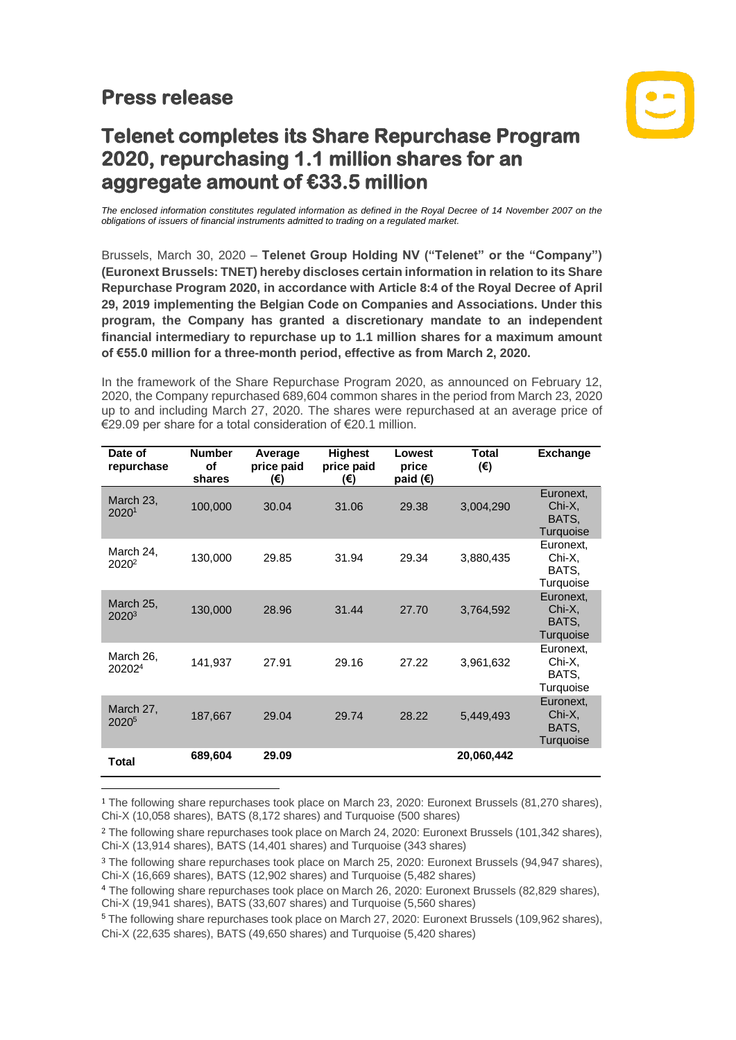## **Press release**



## **Telenet completes its Share Repurchase Program 2020, repurchasing 1.1 million shares for an aggregate amount of €33.5 million**

*The enclosed information constitutes regulated information as defined in the Royal Decree of 14 November 2007 on the obligations of issuers of financial instruments admitted to trading on a regulated market.*

Brussels, March 30, 2020 – **Telenet Group Holding NV ("Telenet" or the "Company") (Euronext Brussels: TNET) hereby discloses certain information in relation to its Share Repurchase Program 2020, in accordance with Article 8:4 of the Royal Decree of April 29, 2019 implementing the Belgian Code on Companies and Associations. Under this program, the Company has granted a discretionary mandate to an independent financial intermediary to repurchase up to 1.1 million shares for a maximum amount of €55.0 million for a three-month period, effective as from March 2, 2020.**

In the framework of the Share Repurchase Program 2020, as announced on February 12, 2020, the Company repurchased 689,604 common shares in the period from March 23, 2020 up to and including March 27, 2020. The shares were repurchased at an average price of €29.09 per share for a total consideration of €20.1 million.

| Date of<br>repurchase           | <b>Number</b><br>of<br>shares | Average<br>price paid<br>(€) | <b>Highest</b><br>price paid<br>(€) | Lowest<br>price<br>paid $(€)$ | <b>Total</b><br>(€) | <b>Exchange</b>                           |
|---------------------------------|-------------------------------|------------------------------|-------------------------------------|-------------------------------|---------------------|-------------------------------------------|
| March 23,<br>20201              | 100,000                       | 30.04                        | 31.06                               | 29.38                         | 3,004,290           | Euronext,<br>Chi-X,<br>BATS.<br>Turquoise |
| March 24,<br>2020 <sup>2</sup>  | 130,000                       | 29.85                        | 31.94                               | 29.34                         | 3,880,435           | Euronext,<br>Chi-X,<br>BATS.<br>Turquoise |
| March 25,<br>$2020^{3}$         | 130,000                       | 28.96                        | 31.44                               | 27.70                         | 3,764,592           | Euronext,<br>Chi-X,<br>BATS.<br>Turquoise |
| March 26,<br>20202 <sup>4</sup> | 141,937                       | 27.91                        | 29.16                               | 27.22                         | 3,961,632           | Euronext,<br>Chi-X,<br>BATS.<br>Turquoise |
| March 27,<br>2020 <sup>5</sup>  | 187,667                       | 29.04                        | 29.74                               | 28.22                         | 5,449,493           | Euronext,<br>Chi-X,<br>BATS.<br>Turquoise |
| Total                           | 689,604                       | 29.09                        |                                     |                               | 20.060,442          |                                           |

<sup>1</sup> The following share repurchases took place on March 23, 2020: Euronext Brussels (81,270 shares), Chi-X (10,058 shares), BATS (8,172 shares) and Turquoise (500 shares)

<sup>5</sup> The following share repurchases took place on March 27, 2020: Euronext Brussels (109,962 shares), Chi-X (22,635 shares), BATS (49,650 shares) and Turquoise (5,420 shares)

<sup>2</sup> The following share repurchases took place on March 24, 2020: Euronext Brussels (101,342 shares), Chi-X (13,914 shares), BATS (14,401 shares) and Turquoise (343 shares)

<sup>3</sup> The following share repurchases took place on March 25, 2020: Euronext Brussels (94,947 shares), Chi-X (16,669 shares), BATS (12,902 shares) and Turquoise (5,482 shares)

<sup>4</sup> The following share repurchases took place on March 26, 2020: Euronext Brussels (82,829 shares), Chi-X (19,941 shares), BATS (33,607 shares) and Turquoise (5,560 shares)